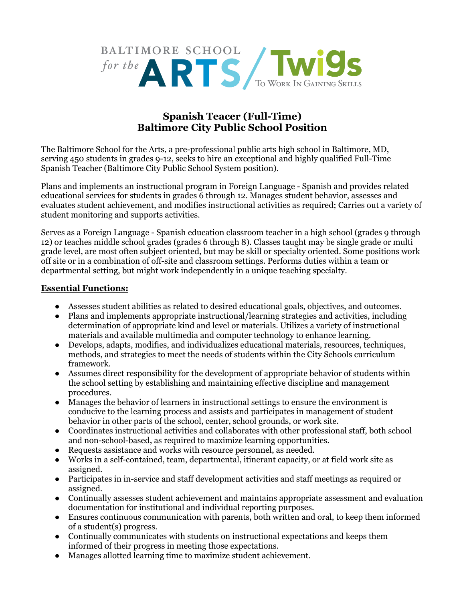

## **Spanish Teacer (Full-Time) Baltimore City Public School Position**

The Baltimore School for the Arts, a pre-professional public arts high school in Baltimore, MD, serving 450 students in grades 9-12, seeks to hire an exceptional and highly qualified Full-Time Spanish Teacher (Baltimore City Public School System position).

Plans and implements an instructional program in Foreign Language - Spanish and provides related educational services for students in grades 6 through 12. Manages student behavior, assesses and evaluates student achievement, and modifies instructional activities as required; Carries out a variety of student monitoring and supports activities.

Serves as a Foreign Language - Spanish education classroom teacher in a high school (grades 9 through 12) or teaches middle school grades (grades 6 through 8). Classes taught may be single grade or multi grade level, are most often subject oriented, but may be skill or specialty oriented. Some positions work off site or in a combination of off-site and classroom settings. Performs duties within a team or departmental setting, but might work independently in a unique teaching specialty.

## **Essential Functions:**

- Assesses student abilities as related to desired educational goals, objectives, and outcomes.
- Plans and implements appropriate instructional/learning strategies and activities, including determination of appropriate kind and level or materials. Utilizes a variety of instructional materials and available multimedia and computer technology to enhance learning.
- Develops, adapts, modifies, and individualizes educational materials, resources, techniques, methods, and strategies to meet the needs of students within the City Schools curriculum framework.
- Assumes direct responsibility for the development of appropriate behavior of students within the school setting by establishing and maintaining effective discipline and management procedures.
- Manages the behavior of learners in instructional settings to ensure the environment is conducive to the learning process and assists and participates in management of student behavior in other parts of the school, center, school grounds, or work site.
- Coordinates instructional activities and collaborates with other professional staff, both school and non-school-based, as required to maximize learning opportunities.
- Requests assistance and works with resource personnel, as needed.
- Works in a self-contained, team, departmental, itinerant capacity, or at field work site as assigned.
- Participates in in-service and staff development activities and staff meetings as required or assigned.
- Continually assesses student achievement and maintains appropriate assessment and evaluation documentation for institutional and individual reporting purposes.
- Ensures continuous communication with parents, both written and oral, to keep them informed of a student(s) progress.
- Continually communicates with students on instructional expectations and keeps them informed of their progress in meeting those expectations.
- Manages allotted learning time to maximize student achievement.